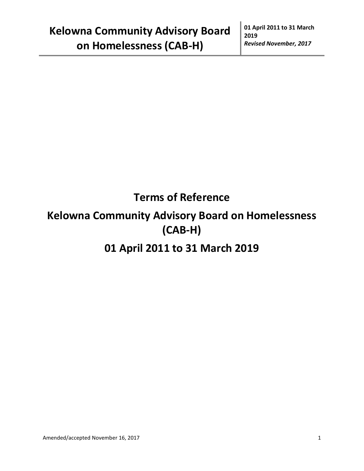# **Terms of Reference**

## **Kelowna Community Advisory Board on Homelessness (CAB-H)**

## **01 April 2011 to 31 March 2019**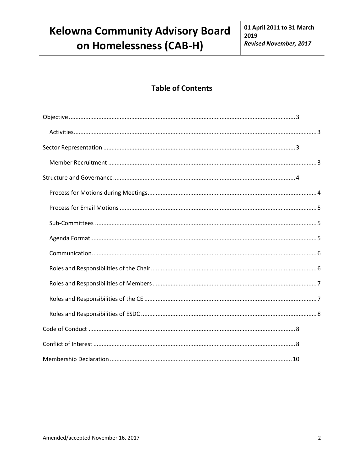### **Table of Contents**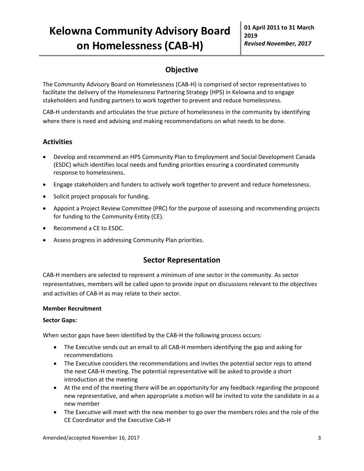## **Objective**

<span id="page-2-0"></span>The Community Advisory Board on Homelessness (CAB-H) is comprised of sector representatives to facilitate the delivery of the Homelessness Partnering Strategy (HPS) in Kelowna and to engage stakeholders and funding partners to work together to prevent and reduce homelessness.

CAB-H understands and articulates the true picture of homelessness in the community by identifying where there is need and advising and making recommendations on what needs to be done.

### <span id="page-2-1"></span>**Activities**

- Develop and recommend an HPS Community Plan to Employment and Social Development Canada (ESDC) which identifies local needs and funding priorities ensuring a coordinated community response to homelessness.
- Engage stakeholders and funders to actively work together to prevent and reduce homelessness.
- Solicit project proposals for funding.
- Appoint a Project Review Committee (PRC) for the purpose of assessing and recommending projects for funding to the Community Entity (CE).
- Recommend a CE to ESDC.
- <span id="page-2-2"></span>Assess progress in addressing Community Plan priorities.

### **Sector Representation**

CAB-H members are selected to represent a minimum of one sector in the community. As sector representatives, members will be called upon to provide input on discussions relevant to the objectives and activities of CAB-H as may relate to their sector.

#### <span id="page-2-3"></span>**Member Recruitment**

#### **Sector Gaps:**

When sector gaps have been identified by the CAB-H the following process occurs:

- The Executive sends out an email to all CAB-H members identifying the gap and asking for recommendations
- The Executive considers the recommendations and invites the potential sector reps to attend the next CAB-H meeting. The potential representative will be asked to provide a short introduction at the meeting
- At the end of the meeting there will be an opportunity for any feedback regarding the proposed new representative, and when appropriate a motion will be invited to vote the candidate in as a new member
- The Executive will meet with the new member to go over the members roles and the role of the CE Coordinator and the Executive Cab-H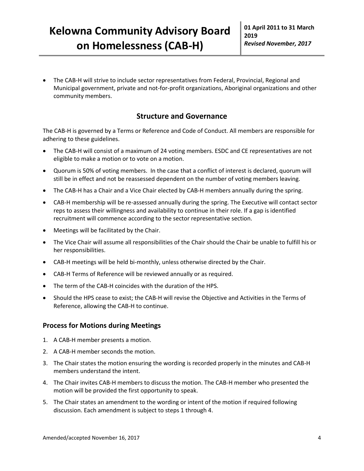The CAB-H will strive to include sector representatives from Federal, Provincial, Regional and Municipal government, private and not-for-profit organizations, Aboriginal organizations and other community members.

### **Structure and Governance**

<span id="page-3-0"></span>The CAB-H is governed by a Terms or Reference and Code of Conduct. All members are responsible for adhering to these guidelines.

- The CAB-H will consist of a maximum of 24 voting members. ESDC and CE representatives are not eligible to make a motion or to vote on a motion.
- Quorum is 50% of voting members. In the case that a conflict of interest is declared, quorum will still be in effect and not be reassessed dependent on the number of voting members leaving.
- The CAB-H has a Chair and a Vice Chair elected by CAB-H members annually during the spring.
- CAB-H membership will be re-assessed annually during the spring. The Executive will contact sector reps to assess their willingness and availability to continue in their role. If a gap is identified recruitment will commence according to the sector representative section.
- Meetings will be facilitated by the Chair.
- The Vice Chair will assume all responsibilities of the Chair should the Chair be unable to fulfill his or her responsibilities.
- CAB-H meetings will be held bi-monthly, unless otherwise directed by the Chair.
- CAB-H Terms of Reference will be reviewed annually or as required.
- The term of the CAB-H coincides with the duration of the HPS.
- Should the HPS cease to exist; the CAB-H will revise the Objective and Activities in the Terms of Reference, allowing the CAB-H to continue.

#### <span id="page-3-1"></span>**Process for Motions during Meetings**

- 1. A CAB-H member presents a motion.
- 2. A CAB-H member seconds the motion.
- 3. The Chair states the motion ensuring the wording is recorded properly in the minutes and CAB-H members understand the intent.
- 4. The Chair invites CAB-H members to discuss the motion. The CAB-H member who presented the motion will be provided the first opportunity to speak.
- 5. The Chair states an amendment to the wording or intent of the motion if required following discussion. Each amendment is subject to steps 1 through 4.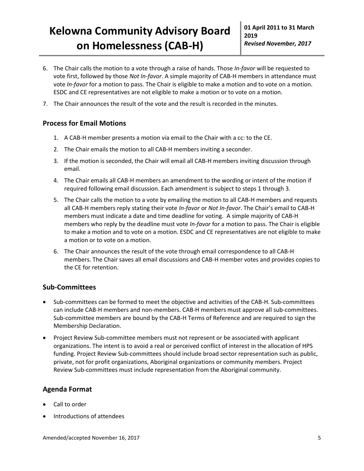- 6. The Chair calls the motion to a vote through a raise of hands. Those *In-favor* will be requested to vote first, followed by those *Not In-favor*. A simple majority of CAB-H members in attendance must vote *In-favor* for a motion to pass. The Chair is eligible to make a motion and to vote on a motion. ESDC and CE representatives are not eligible to make a motion or to vote on a motion.
- 7. The Chair announces the result of the vote and the result is recorded in the minutes.

#### <span id="page-4-0"></span>**Process for Email Motions**

- 1. A CAB-H member presents a motion via email to the Chair with a cc: to the CE.
- 2. The Chair emails the motion to all CAB-H members inviting a seconder.
- 3. If the motion is seconded, the Chair will email all CAB-H members inviting discussion through email.
- 4. The Chair emails all CAB-H members an amendment to the wording or intent of the motion if required following email discussion. Each amendment is subject to steps 1 through 3.
- 5. The Chair calls the motion to a vote by emailing the motion to all CAB-H members and requests all CAB-H members reply stating their vote *In-favor* or *Not In-favor*. The Chair's email to CAB-H members must indicate a date and time deadline for voting. A simple majority of CAB-H members who reply by the deadline must vote *In-favor* for a motion to pass. The Chair is eligible to make a motion and to vote on a motion. ESDC and CE representatives are not eligible to make a motion or to vote on a motion.
- 6. The Chair announces the result of the vote through email correspondence to all CAB-H members. The Chair saves all email discussions and CAB-H member votes and provides copies to the CE for retention.

#### <span id="page-4-1"></span>**Sub-Committees**

- Sub-committees can be formed to meet the objective and activities of the CAB-H. Sub-committees can include CAB-H members and non-members. CAB-H members must approve all sub-committees. Sub-committee members are bound by the CAB-H Terms of Reference and are required to sign the Membership Declaration.
- Project Review Sub-committee members must not represent or be associated with applicant organizations. The intent is to avoid a real or perceived conflict of interest in the allocation of HPS funding. Project Review Sub-committees should include broad sector representation such as public, private, not for profit organizations, Aboriginal organizations or community members. Project Review Sub-committees must include representation from the Aboriginal community.

### <span id="page-4-2"></span>**Agenda Format**

- Call to order
- Introductions of attendees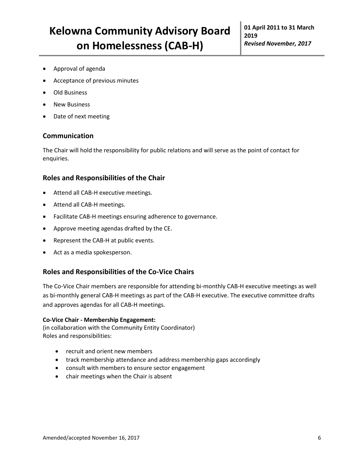- Approval of agenda
- Acceptance of previous minutes
- Old Business
- New Business
- <span id="page-5-0"></span>Date of next meeting

#### **Communication**

The Chair will hold the responsibility for public relations and will serve as the point of contact for enquiries.

#### <span id="page-5-1"></span>**Roles and Responsibilities of the Chair**

- Attend all CAB-H executive meetings.
- Attend all CAB-H meetings.
- Facilitate CAB-H meetings ensuring adherence to governance.
- Approve meeting agendas drafted by the CE.
- Represent the CAB-H at public events.
- Act as a media spokesperson.

#### **Roles and Responsibilities of the Co-Vice Chairs**

The Co-Vice Chair members are responsible for attending bi-monthly CAB-H executive meetings as well as bi-monthly general CAB-H meetings as part of the CAB-H executive. The executive committee drafts and approves agendas for all CAB-H meetings.

#### **Co-Vice Chair - Membership Engagement:**

(in collaboration with the Community Entity Coordinator) Roles and responsibilities:

- recruit and orient new members
- track membership attendance and address membership gaps accordingly
- consult with members to ensure sector engagement
- chair meetings when the Chair is absent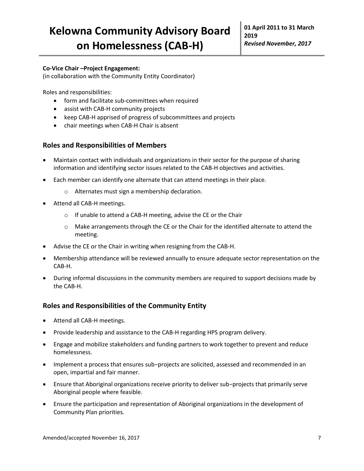#### **Co-Vice Chair –Project Engagement:**

(in collaboration with the Community Entity Coordinator)

Roles and responsibilities:

- form and facilitate sub-committees when required
- assist with CAB-H community projects
- keep CAB-H apprised of progress of subcommittees and projects
- chair meetings when CAB-H Chair is absent

#### <span id="page-6-0"></span>**Roles and Responsibilities of Members**

- Maintain contact with individuals and organizations in their sector for the purpose of sharing information and identifying sector issues related to the CAB-H objectives and activities.
- Each member can identify one alternate that can attend meetings in their place.
	- o Alternates must sign a membership declaration.
- Attend all CAB-H meetings.
	- o If unable to attend a CAB-H meeting, advise the CE or the Chair
	- $\circ$  Make arrangements through the CE or the Chair for the identified alternate to attend the meeting.
- Advise the CE or the Chair in writing when resigning from the CAB-H.
- Membership attendance will be reviewed annually to ensure adequate sector representation on the CAB-H.
- During informal discussions in the community members are required to support decisions made by the CAB-H.

#### <span id="page-6-1"></span>**Roles and Responsibilities of the Community Entity**

- Attend all CAB-H meetings.
- Provide leadership and assistance to the CAB-H regarding HPS program delivery.
- Engage and mobilize stakeholders and funding partners to work together to prevent and reduce homelessness.
- Implement a process that ensures sub−projects are solicited, assessed and recommended in an open, impartial and fair manner.
- Ensure that Aboriginal organizations receive priority to deliver sub−projects that primarily serve Aboriginal people where feasible.
- Ensure the participation and representation of Aboriginal organizations in the development of Community Plan priorities.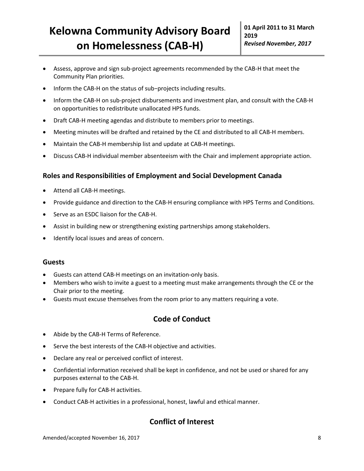- Assess, approve and sign sub-project agreements recommended by the CAB-H that meet the Community Plan priorities.
- Inform the CAB-H on the status of sub−projects including results.
- Inform the CAB-H on sub-project disbursements and investment plan, and consult with the CAB-H on opportunities to redistribute unallocated HPS funds.
- Draft CAB-H meeting agendas and distribute to members prior to meetings.
- Meeting minutes will be drafted and retained by the CE and distributed to all CAB-H members.
- Maintain the CAB-H membership list and update at CAB-H meetings.
- Discuss CAB-H individual member absenteeism with the Chair and implement appropriate action.

#### <span id="page-7-0"></span>**Roles and Responsibilities of Employment and Social Development Canada**

- Attend all CAB-H meetings.
- Provide guidance and direction to the CAB-H ensuring compliance with HPS Terms and Conditions.
- Serve as an ESDC liaison for the CAB-H.
- Assist in building new or strengthening existing partnerships among stakeholders.
- Identify local issues and areas of concern.

#### **Guests**

- Guests can attend CAB-H meetings on an invitation-only basis.
- Members who wish to invite a guest to a meeting must make arrangements through the CE or the Chair prior to the meeting.
- <span id="page-7-1"></span>Guests must excuse themselves from the room prior to any matters requiring a vote.

### **Code of Conduct**

- Abide by the CAB-H Terms of Reference.
- Serve the best interests of the CAB-H objective and activities.
- Declare any real or perceived conflict of interest.
- Confidential information received shall be kept in confidence, and not be used or shared for any purposes external to the CAB-H.
- Prepare fully for CAB-H activities.
- Conduct CAB-H activities in a professional, honest, lawful and ethical manner.

### <span id="page-7-2"></span>**Conflict of Interest**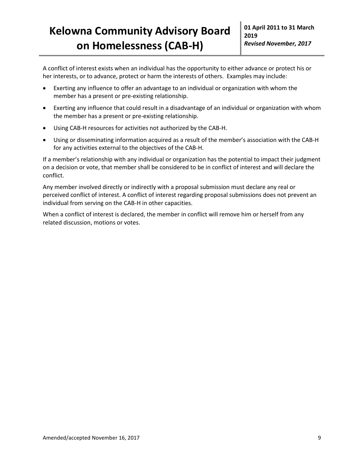A conflict of interest exists when an individual has the opportunity to either advance or protect his or her interests, or to advance, protect or harm the interests of others. Examples may include:

- Exerting any influence to offer an advantage to an individual or organization with whom the member has a present or pre-existing relationship.
- Exerting any influence that could result in a disadvantage of an individual or organization with whom the member has a present or pre-existing relationship.
- Using CAB-H resources for activities not authorized by the CAB-H.
- Using or disseminating information acquired as a result of the member's association with the CAB-H for any activities external to the objectives of the CAB-H.

If a member's relationship with any individual or organization has the potential to impact their judgment on a decision or vote, that member shall be considered to be in conflict of interest and will declare the conflict.

Any member involved directly or indirectly with a proposal submission must declare any real or perceived conflict of interest. A conflict of interest regarding proposal submissions does not prevent an individual from serving on the CAB-H in other capacities.

When a conflict of interest is declared, the member in conflict will remove him or herself from any related discussion, motions or votes.